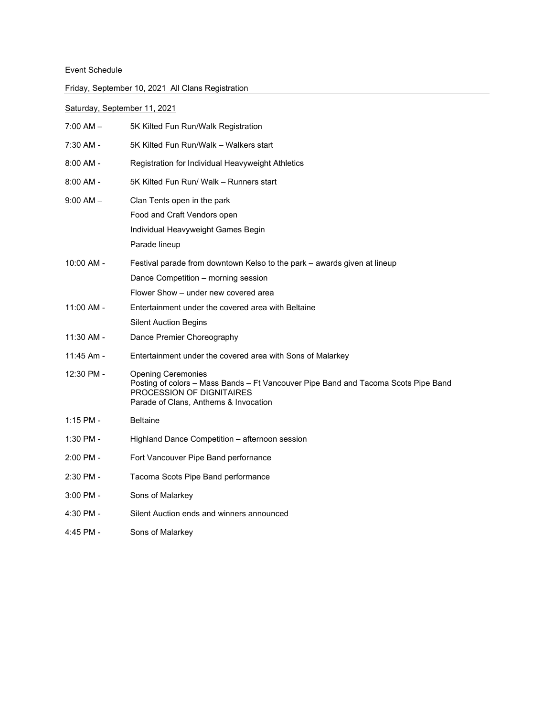## Event Schedule

| Friday, September 10, 2021 All Clans Registration |
|---------------------------------------------------|
|---------------------------------------------------|

## Saturday, September 11, 2021

| 7:00 AM -     | 5K Kilted Fun Run/Walk Registration                                                                                                                                                   |
|---------------|---------------------------------------------------------------------------------------------------------------------------------------------------------------------------------------|
| 7:30 AM -     | 5K Kilted Fun Run/Walk - Walkers start                                                                                                                                                |
| 8:00 AM -     | Registration for Individual Heavyweight Athletics                                                                                                                                     |
| 8:00 AM -     | 5K Kilted Fun Run/ Walk – Runners start                                                                                                                                               |
| $9:00$ AM $-$ | Clan Tents open in the park<br>Food and Craft Vendors open<br>Individual Heavyweight Games Begin<br>Parade lineup                                                                     |
| $10:00$ AM -  | Festival parade from downtown Kelso to the park – awards given at lineup<br>Dance Competition – morning session<br>Flower Show – under new covered area                               |
| 11:00 AM -    | Entertainment under the covered area with Beltaine<br><b>Silent Auction Begins</b>                                                                                                    |
| $11:30$ AM -  | Dance Premier Choreography                                                                                                                                                            |
| 11:45 Am -    | Entertainment under the covered area with Sons of Malarkey                                                                                                                            |
| 12:30 PM -    | <b>Opening Ceremonies</b><br>Posting of colors - Mass Bands - Ft Vancouver Pipe Band and Tacoma Scots Pipe Band<br>PROCESSION OF DIGNITAIRES<br>Parade of Clans, Anthems & Invocation |
| 1:15 PM -     | <b>Beltaine</b>                                                                                                                                                                       |
| 1:30 PM -     | Highland Dance Competition - afternoon session                                                                                                                                        |
| 2:00 PM -     | Fort Vancouver Pipe Band perfornance                                                                                                                                                  |
| 2:30 PM -     | Tacoma Scots Pipe Band performance                                                                                                                                                    |
| 3:00 PM -     | Sons of Malarkey                                                                                                                                                                      |
| 4:30 PM -     | Silent Auction ends and winners announced                                                                                                                                             |
| 4:45 PM -     | Sons of Malarkev                                                                                                                                                                      |